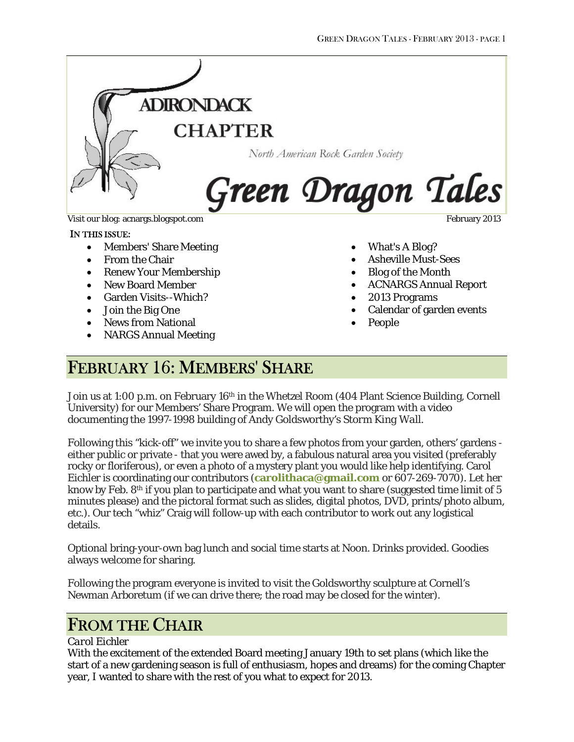

#### IN THIS ISSUE:

- Members' Share Meeting
- From the Chair
- Renew Your Membership
- New Board Member
- Garden Visits--Which?
- Join the Big One
- News from National
- NARGS Annual Meeting

- What's A Blog?
- Asheville Must-Sees
- Blog of the Month
- ACNARGS Annual Report
- 2013 Programs
- Calendar of garden events
- People

## FEBRUARY 16: MEMBERS' SHARE

Join us at 1:00 p.m. on February 16<sup>th</sup> in the Whetzel Room (404 Plant Science Building, Cornell University) for our Members' Share Program. We will open the program with a video documenting the 1997-1998 building of Andy Goldsworthy's *Storm King Wall.*

Following this "kick-off" we invite you to share a few photos from your garden, others' gardens either public or private - that you were awed by, a fabulous natural area you visited (preferably rocky or floriferous), or even a photo of a mystery plant you would like help identifying. Carol Eichler is coordinating our contributors (**[carolithaca@gmail.com](mailto:carolithaca@gmail.com)** or 607-269-7070). Let her know by Feb. 8<sup>th</sup> if you plan to participate and what you want to share (suggested time limit of 5 minutes please) and the pictoral format such as slides, digital photos, DVD, prints/photo album, etc.). Our tech "whiz" Craig will follow-up with each contributor to work out any logistical details.

Optional bring-your-own bag lunch and social time starts at Noon. Drinks provided. Goodies always welcome for sharing.

Following the program everyone is invited to visit the Goldsworthy sculpture at Cornell's Newman Arboretum (if we can drive there; the road may be closed for the winter).

## FROM THE CHAIR

#### *Carol Eichler*

With the excitement of the extended Board meeting January 19th to set plans (which like the start of a new gardening season is full of enthusiasm, hopes and dreams) for the coming Chapter year, I wanted to share with the rest of you what to expect for 2013.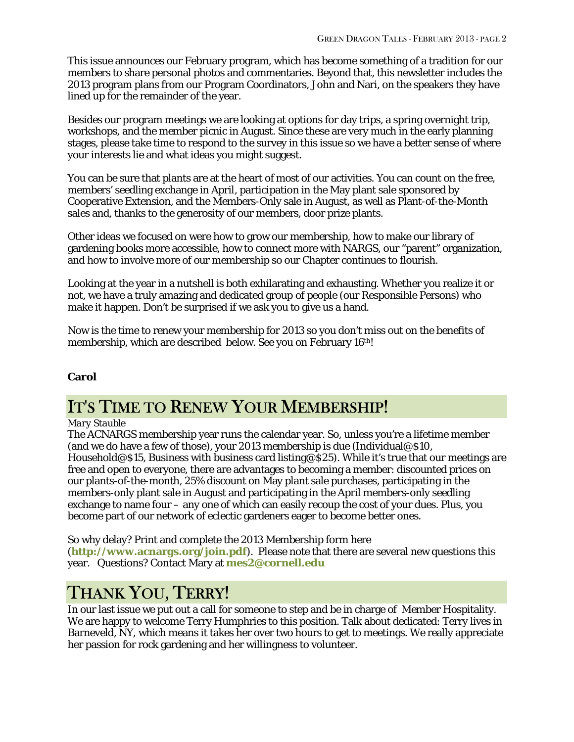This issue announces our February program, which has become something of a tradition for our members to share personal photos and commentaries. Beyond that, this newsletter includes the 2013 program plans from our Program Coordinators, John and Nari, on the speakers they have lined up for the remainder of the year.

Besides our program meetings we are looking at options for day trips, a spring overnight trip, workshops, and the member picnic in August. Since these are very much in the early planning stages, please take time to respond to the survey in this issue so we have a better sense of where your interests lie and what ideas you might suggest.

You can be sure that plants are at the heart of most of our activities. You can count on the free, members' seedling exchange in April, participation in the May plant sale sponsored by Cooperative Extension, and the Members-Only sale in August, as well as Plant-of-the-Month sales and, thanks to the generosity of our members, door prize plants.

Other ideas we focused on were how to grow our membership, how to make our library of gardening books more accessible, how to connect more with NARGS, our "parent" organization, and how to involve more of our membership so our Chapter continues to flourish.

Looking at the year in a nutshell is both exhilarating and exhausting. Whether you realize it or not, we have a truly amazing and dedicated group of people (our Responsible Persons) who make it happen. Don't be surprised if we ask you to give us a hand.

Now is the time to renew your membership for 2013 so you don't miss out on the benefits of membership, which are described below. See you on February 16th!

### **Carol**

## IT'S TIME TO RENEW YOUR MEMBERSHIP!

#### *Mary Stauble*

The ACNARGS membership year runs the calendar year. So, unless you're a lifetime member (and we do have a few of those), your 2013 membership is due (Individual@\$10, Household@\$15, Business with business card listing@\$25). While it's true that our meetings are free and open to everyone, there are advantages to becoming a member: discounted prices on our plants-of-the-month, 25% discount on May plant sale purchases, participating in the members-only plant sale in August and participating in the April members-only seedling exchange to name four – any one of which can easily recoup the cost of your dues. Plus, you become part of our network of eclectic gardeners eager to become better ones.

So why delay? Print and complete the 2013 Membership form here (**<http://www.acnargs.org/join.pdf>**). Please note that there are several new questions this year. Questions? Contact Mary at **[mes2@cornell.edu](mailto:mes2@cornell.edu)**

## THANK YOU, TERRY!

In our last issue we put out a call for someone to step and be in charge of Member Hospitality. We are happy to welcome Terry Humphries to this position. Talk about dedicated: Terry lives in Barneveld, NY, which means it takes her over two hours to get to meetings. We really appreciate her passion for rock gardening and her willingness to volunteer.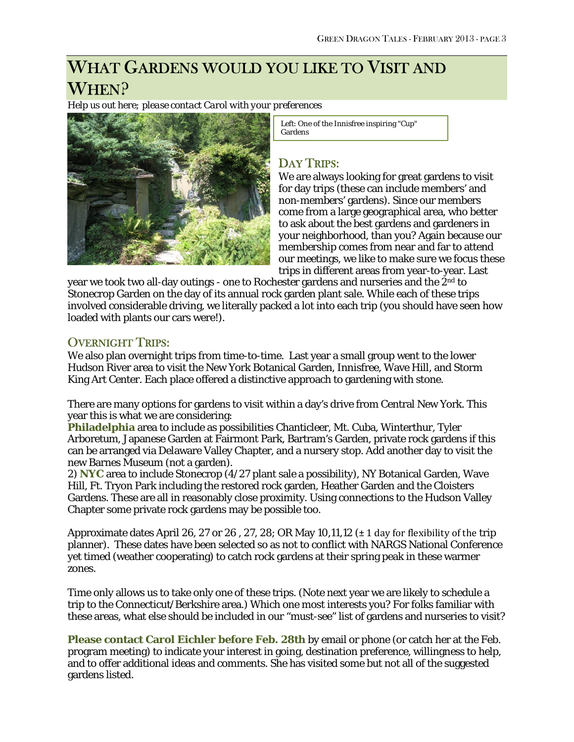# WHAT GARDENS WOULD YOU LIKE TO VISIT AND WHEN?

*Help us out here; please contact Carol with your preferences*



 Left: One of the Innisfree inspiring "Cup" Gardens

### DAY TRIPS:

We are always looking for great gardens to visit for day trips (these can include members' and non-members' gardens). Since our members come from a large geographical area, who better to ask about the best gardens and gardeners in your neighborhood, than you? Again because our membership comes from near and far to attend our meetings, we like to make sure we focus these trips in different areas from year-to-year. Last

year we took two all-day outings - one to Rochester gardens and nurseries and the 2<sup>nd</sup> to Stonecrop Garden on the day of its annual rock garden plant sale. While each of these trips involved considerable driving, we literally packed a lot into each trip (you should have seen how loaded with plants our cars were!).

### OVERNIGHT TRIPS:

We also plan overnight trips from time-to-time. Last year a small group went to the lower Hudson River area to visit the New York Botanical Garden, Innisfree, Wave Hill, and Storm King Art Center. Each place offered a distinctive approach to gardening with stone.

There are many options for gardens to visit within a day's drive from Central New York. This year this is what we are considering:

**Philadelphia** area to include as possibilities Chanticleer, Mt. Cuba, Winterthur, Tyler Arboretum, Japanese Garden at Fairmont Park, Bartram's Garden, private rock gardens if this can be arranged via Delaware Valley Chapter, and a nursery stop. Add another day to visit the new Barnes Museum (not a garden).

2) **NYC** area to include Stonecrop (4/27 plant sale a possibility), NY Botanical Garden, Wave Hill, Ft. Tryon Park including the restored rock garden, Heather Garden and the Cloisters Gardens. These are all in reasonably close proximity. Using connections to the Hudson Valley Chapter some private rock gardens may be possible too.

Approximate dates April 26, 27 or 26, 27, 28; OR May 10, 11, 12 ( $\pm$  1 day for flexibility of the trip planner). These dates have been selected so as not to conflict with NARGS National Conference yet timed (weather cooperating) to catch rock gardens at their spring peak in these warmer zones.

Time only allows us to take only one of these trips. (Note next year we are likely to schedule a trip to the Connecticut/Berkshire area.) Which one most interests you? For folks familiar with these areas, what else should be included in our "must-see" list of gardens and nurseries to visit?

**Please contact Carol Eichler before Feb. 28th** by email or phone (or catch her at the Feb. program meeting) to indicate your interest in going, destination preference, willingness to help, and to offer additional ideas and comments. She has visited some but not all of the suggested gardens listed.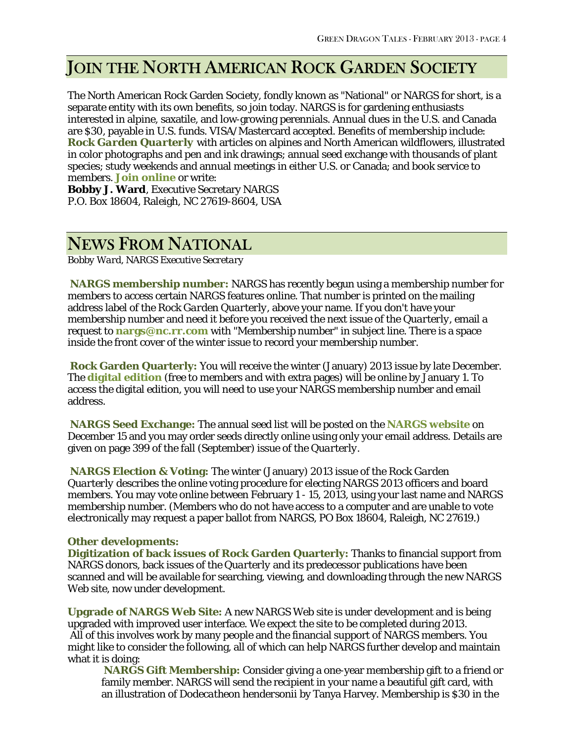# JOIN THE NORTH AMERICAN ROCK GARDEN SOCIETY

The North American Rock Garden Society, fondly known as "National" or NARGS for short, is a separate entity with its own benefits, so join today. NARGS is for gardening enthusiasts interested in alpine, saxatile, and low-growing perennials. Annual dues in the U.S. and Canada are \$30, payable in U.S. funds. VISA/Mastercard accepted. Benefits of membership include: *Rock Garden Quarterly* with articles on alpines and North American wildflowers, illustrated in color photographs and pen and ink drawings; annual seed exchange with thousands of plant species; study weekends and annual meetings in either U.S. or Canada; and book service to members. **[Join online](http://www.nargs.org/)** or write:

**Bobby J. Ward**, Executive Secretary NARGS P.O. Box 18604, Raleigh, NC 27619-8604, USA

## NEWS FROM NATIONAL

*Bobby Ward, NARGS Executive Secretary*

**NARGS membership number:** NARGS has recently begun using a membership number for members to access certain NARGS features online. That number is printed on the mailing address label of the *Rock Garden Quarterly*, above your name. If you don't have your membership number and need it before you received the next issue of the *Quarterly,* email a request to **[nargs@nc.rr.com](mailto:nargs@nc.rr.com)** with "Membership number" in subject line. There is a space inside the front cover of the winter issue to record your membership number.

**Rock Garden Quarterly:** You will receive the winter (January) 2013 issue by late December. The **[digital edition](http://nargs.org/index.php?option=com_content&view=article&id=279&Itemid=159)** (free to members *and* with extra pages) will be online by January 1. To access the digital edition, you will need to use your NARGS membership number and email address.

**NARGS Seed Exchange:** The annual seed list will be posted on the **[NARGS website](http://www.nargs.org/)** on December 15 and you may order seeds directly online using only your email address. Details are given on page 399 of the fall (September) issue of the *Quarterly*.

**NARGS Election & Voting:** The winter (January) 2013 issue of the *Rock Garden Quarterly* describes the online voting procedure for electing NARGS 2013 officers and board members. You may vote online between February 1 - 15, 2013, using your last name and NARGS membership number. (Members who do not have access to a computer and are unable to vote electronically may request a paper ballot from NARGS, PO Box 18604, Raleigh, NC 27619.)

#### **Other developments:**

**Digitization of back issues of Rock Garden Quarterly:** Thanks to financial support from NARGS donors, back issues of the *Quarterly* and its predecessor publications have been scanned and will be available for searching, viewing, and downloading through the new NARGS Web site, now under development.

**Upgrade of NARGS Web Site:** A new NARGS Web site is under development and is being upgraded with improved user interface. We expect the site to be completed during 2013. All of this involves work by many people and the financial support of NARGS members. You might like to consider the following, all of which can help NARGS further develop and maintain what it is doing:

**NARGS Gift Membership:** Consider giving a one-year membership gift to a friend or family member. NARGS will send the recipient in your name a beautiful gift card, with an illustration of *Dodecatheon hendersonii* by Tanya Harvey. Membership is \$30 in the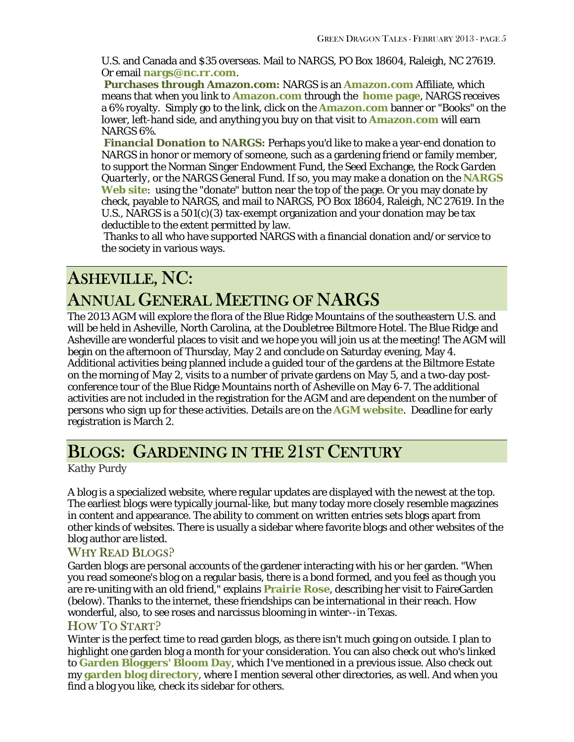U.S. and Canada and \$35 overseas. Mail to NARGS, PO Box 18604, Raleigh, NC 27619. Or email **[nargs@nc.rr.com](mailto:nargs@nc.rr.com)**.

**Purchases through [Amazon.com:](http://amazon.com/)** NARGS is an **[Amazon.com](http://amazon.com/)** Affiliate, which means that when you link to **[Amazon.com](http://amazon.com/)** through the **[home page](http://www.nargs.org/)**, NARGS receives a 6% royalty. Simply go to the link, click on the **[Amazon.com](http://amazon.com/)** banner or "Books" on the lower, left-hand side, and anything you buy on that visit to **[Amazon.com](http://amazon.com/)** will earn NARGS 6%.

**Financial Donation to NARGS:** Perhaps you'd like to make a year-end donation to NARGS in honor or memory of someone, such as a gardening friend or family member, to support the Norman Singer Endowment Fund, the Seed Exchange, the *Rock Garden Quarterly*, or the NARGS General Fund. If so, you may make a donation on the **[NARGS](http://www.nargs.org/)  [Web site](http://www.nargs.org/)**: using the "donate" button near the top of the page. Or you may donate by check, payable to NARGS, and mail to NARGS, PO Box 18604, Raleigh, NC 27619. In the U.S., NARGS is a 501(c)(3) tax-exempt organization and your donation may be tax deductible to the extent permitted by law.

Thanks to all who have supported NARGS with a financial donation and/or service to the society in various ways.

# ASHEVILLE, NC: ANNUAL GENERAL MEETING OF NARGS

The 2013 AGM will explore the flora of the Blue Ridge Mountains of the southeastern U.S. and will be held in Asheville, North Carolina, at the Doubletree Biltmore Hotel. The Blue Ridge and Asheville are wonderful places to visit and we hope you will join us at the meeting! The AGM will begin on the afternoon of Thursday, May 2 and conclude on Saturday evening, May 4. Additional activities being planned include a guided tour of the gardens at the Biltmore Estate on the morning of May 2, visits to a number of private gardens on May 5, and a two-day postconference tour of the Blue Ridge Mountains north of Asheville on May 6-7. The additional activities are not included in the registration for the AGM and are dependent on the number of persons who sign up for these activities. Details are on the **[AGM website](http://www.nargs2013.org/index.php)**. Deadline for early registration is March 2.

## BLOGS: GARDENING IN THE 21ST CENTURY

*Kathy Purdy*

A blog is a specialized website, where regular updates are displayed with the newest at the top. The earliest blogs were typically journal-like, but many today more closely resemble magazines in content and appearance. The ability to comment on written entries sets blogs apart from other kinds of websites. There is usually a sidebar where favorite blogs and other websites of the blog author are listed.

### WHY READ BLOGS?

Garden blogs are personal accounts of the gardener interacting with his or her garden. "When you read someone's blog on a regular basis, there is a bond formed, and you feel as though you are re-uniting with an old friend," explains **[Prairie](http://www.prairierosesgarden.blogspot.com/2012/08/a-visit-to-enchanted-garden.html) Rose**, describing her visit to FaireGarden (below). Thanks to the internet, these friendships can be international in their reach. How wonderful, also, to see roses and narcissus blooming in winter--in Texas.

### HOW TO START?

Winter is the perfect time to read garden blogs, as there isn't much going on outside. I plan to highlight one garden blog a month for your consideration. You can also check out who's linked to **[Garden Bloggers' Bloom Day](http://www.maydreamsgardens.com/search/label/garden%20bloggers%20bloom%20day)**, which I've mentioned in a previous issue. Also check out my **[garden blog directory](http://www.coldclimategardening.com/garden-blog-directory/)**, where I mention several other directories, as well. And when you find a blog you like, check its sidebar for others.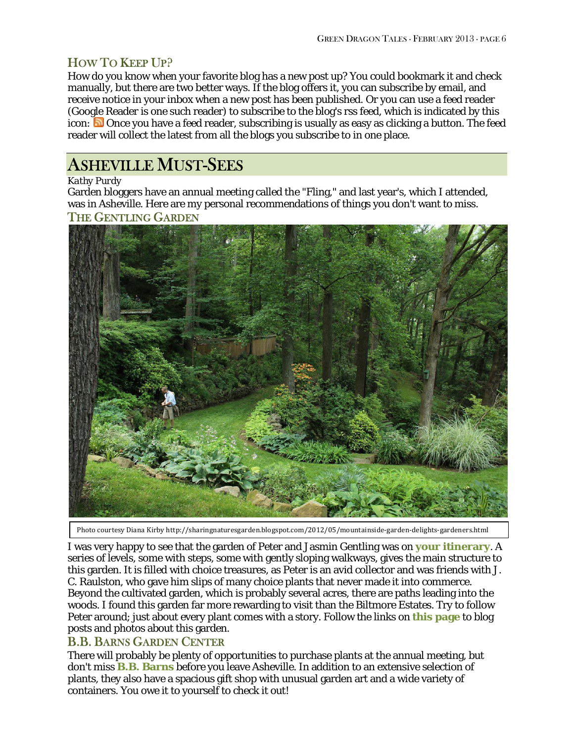### HOW TO KEEP UP?

How do you know when your favorite blog has a new post up? You could bookmark it and check manually, but there are two better ways. If the blog offers it, you can subscribe by email, and receive notice in your inbox when a new post has been published. Or you can use a feed reader (Google Reader is one such reader) to subscribe to the blog's rss feed, which is indicated by this icon:  $\Box$  Once you have a feed reader, subscribing is usually as easy as clicking a button. The feed reader will collect the latest from all the blogs you subscribe to in one place.

## ASHEVILLE MUST-SEES

#### *Kathy Purdy*

Garden bloggers have an annual meeting called the "Fling," and last year's, which I attended, was in Asheville. Here are my personal recommendations of things you don't want to miss.

#### THE GENTLING GARDEN



Photo courtesy Diana Kirby http://sharingnaturesgarden.blogspot.com/2012/05/mountainside-garden-delights-gardeners.html

I was very happy to see that the garden of Peter and Jasmin Gentling was on **[your itinerary](http://www.nargs2013.org/open-gardens)**. A series of levels, some with steps, some with gently sloping walkways, gives the main structure to this garden. It is filled with choice treasures, as Peter is an avid collector and was friends with J. C. Raulston, who gave him slips of many choice plants that never made it into commerce. Beyond the cultivated garden, which is probably several acres, there are paths leading into the woods. I found this garden far more rewarding to visit than the Biltmore Estates. Try to follow Peter around; just about every plant comes with a story. Follow the links on **[this page](http://gardenbloggersfling.blogspot.com/2012/05/gentling-garden.html)** to blog posts and photos about this garden.

### B.B. BARNS GARDEN CENTER

There will probably be plenty of opportunities to purchase plants at the annual meeting, but don't miss **[B.B. Barns](http://www.bbbarns.com/)** before you leave Asheville. In addition to an extensive selection of plants, they also have a spacious gift shop with unusual garden art and a wide variety of containers. You owe it to yourself to check it out!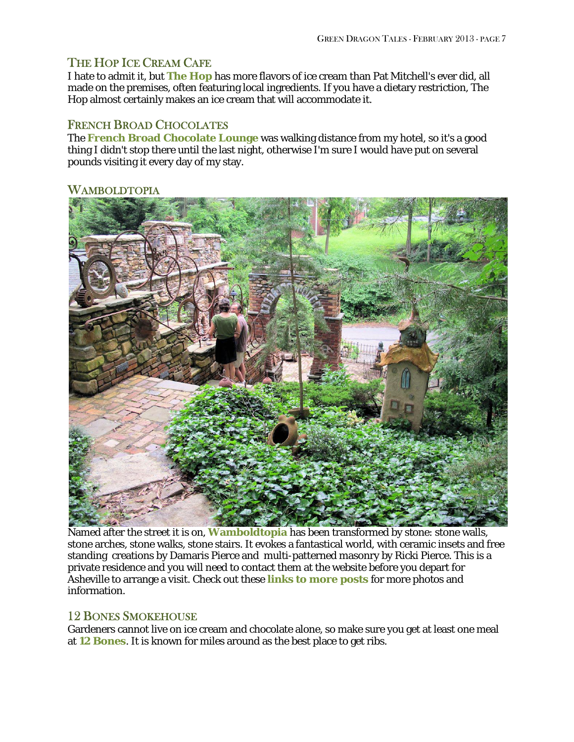### THE HOP ICE CREAM CAFE

I hate to admit it, but **[The Hop](http://thehopicecreamcafe.com/)** has more flavors of ice cream than Pat Mitchell's ever did, all made on the premises, often featuring local ingredients. If you have a dietary restriction, The Hop almost certainly makes an ice cream that will accommodate it.

### FRENCH BROAD CHOCOLATES

The **[French Broad Chocolate Lounge](http://frenchbroadchocolates.com/shop/menu)** was walking distance from my hotel, so it's a good thing I didn't stop there until the last night, otherwise I'm sure I would have put on several pounds visiting it every day of my stay.

### WAMBOLDTOPIA



Named after the street it is on, **[Wamboldtopia](http://www.wamboldtopia.com/)** has been transformed by stone: stone walls, stone arches, stone walks, stone stairs. It evokes a fantastical world, with ceramic insets and free standing creations by Damaris Pierce and multi-patterned masonry by Ricki Pierce. This is a private residence and you will need to contact them at the website before you depart for Asheville to arrange a visit. Check out these **[links to more posts](http://gardenbloggersfling.blogspot.com/2012/05/wamboldtopia.html)** for more photos and information.

### 12 BONES SMOKEHOUSE

Gardeners cannot live on ice cream and chocolate alone, so make sure you get at least one meal at **[12 Bones](http://www.12bones.com/)**. It is known for miles around as the best place to get ribs.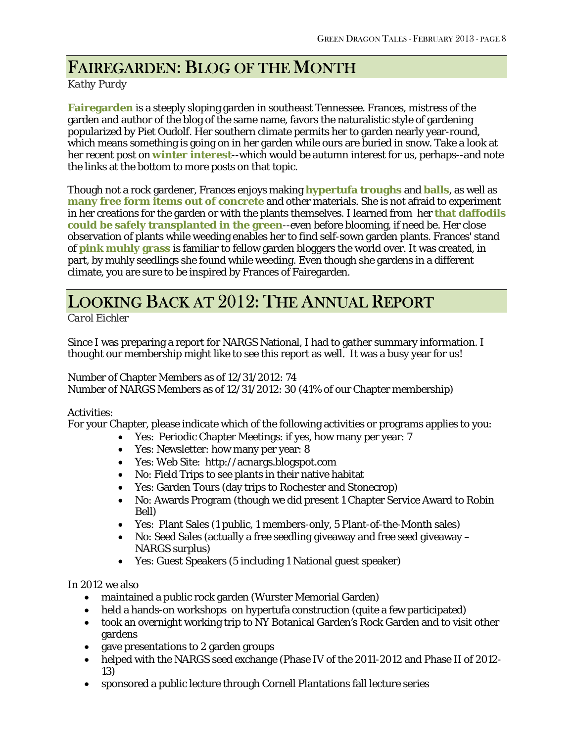## FAIREGARDEN: BLOG OF THE MONTH

*Kathy Purdy*

**[Fairegarden](http://fairegarden.wordpress.com/)** is a steeply sloping garden in southeast Tennessee. Frances, mistress of the garden and author of the blog of the same name, favors the naturalistic style of gardening popularized by Piet Oudolf. Her southern climate permits her to garden nearly year-round, which means something is going on in her garden while ours are buried in snow. Take a look at her recent post on **[winter interest](http://fairegarden.wordpress.com/2013/01/18/looking-through-evergreen-colored-glasses/)**--which would be autumn interest for us, perhaps--and note the links at the bottom to more posts on that topic.

Though not a rock gardener, Frances enjoys making **[hypertufa troughs](http://fairegarden.wordpress.com/2012/07/27/how-to-make-a-hypertufa-trough/)** and **[balls](http://fairegarden.wordpress.com/2009/09/04/how-to-make-hypertufa-concrete-balls/)**, as well as **[many free form items out of concrete](http://fairegarden.wordpress.com/2008/07/17/a-little-whimsy-in-the-garden/)** and other materials. She is not afraid to experiment in her creations for the garden or with the plants themselves. I learned from her **[that daffodils](http://fairegarden.wordpress.com/2011/03/11/how-to-divide-daffodils/)  [could be safely transplanted in the green](http://fairegarden.wordpress.com/2011/03/11/how-to-divide-daffodils/)**--even before blooming, if need be. Her close observation of plants while weeding enables her to find self-sown garden plants. Frances' stand of **[pink muhly grass](http://fairegarden.wordpress.com/2012/09/28/do-you-like-pink/)** is familiar to fellow garden bloggers the world over. It was created, in part, by muhly seedlings she found while weeding. Even though she gardens in a different climate, you are sure to be inspired by Frances of Fairegarden.

## LOOKING BACK AT 2012: THE ANNUAL REPORT

*Carol Eichler*

Since I was preparing a report for NARGS National, I had to gather summary information. I thought our membership might like to see this report as well. It was a busy year for us!

Number of Chapter Members as of 12/31/2012: 74 Number of NARGS Members as of 12/31/2012: 30 (41% of our Chapter membership)

### Activities:

For your Chapter, please indicate which of the following activities or programs applies to you:

- Yes: Periodic Chapter Meetings: if yes, how many per year: 7
- Yes: Newsletter: how many per year: 8
- Yes: Web Site: http://acnargs.blogspot.com
- No: Field Trips to see plants in their native habitat
- Yes: Garden Tours (day trips to Rochester and Stonecrop)
- No: Awards Program (though we did present 1 Chapter Service Award to Robin Bell)
- Yes: Plant Sales (1 public, 1 members-only, 5 Plant-of-the-Month sales)
- No: Seed Sales (actually a free seedling giveaway and free seed giveaway NARGS surplus)
- Yes: Guest Speakers (5 including 1 National guest speaker)

In 2012 we also

- maintained a public rock garden (Wurster Memorial Garden)
- held a hands-on workshops on hypertufa construction (quite a few participated)
- took an overnight working trip to NY Botanical Garden's Rock Garden and to visit other gardens
- gave presentations to 2 garden groups
- helped with the NARGS seed exchange (Phase IV of the 2011-2012 and Phase II of 2012- 13)
- sponsored a public lecture through Cornell Plantations fall lecture series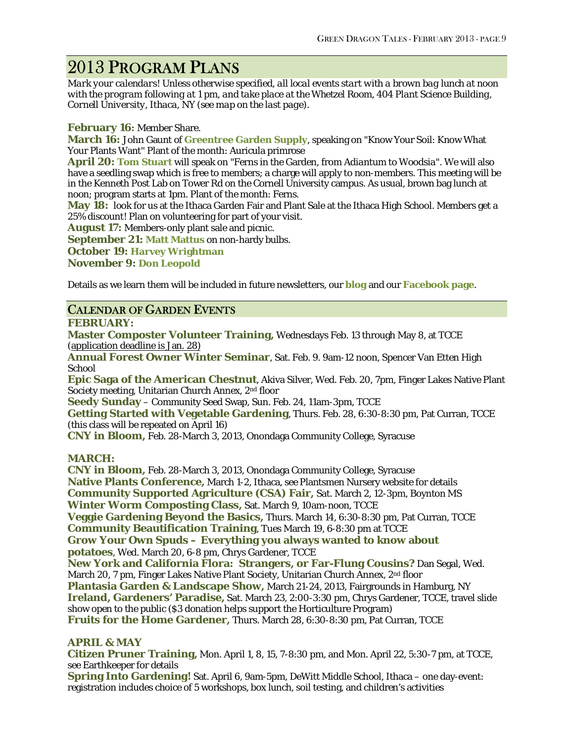## 2013 PROGRAM PLANS

*Mark your calendars! Unless otherwise specified, all local events start with a brown bag lunch at noon with the program following at 1 pm, and take place at the Whetzel Room, 404 Plant Science Building, Cornell University, Ithaca, NY (see map on the last page).*

#### **February 16:** Member Share.

**March 16:** John Gaunt of **[Greentree Garden Supply](http://www.greentreegardensupply.com/)**, speaking on "Know Your Soil: Know What Your Plants Want" Plant of the month: Auricula primrose

**April 20: [Tom Stuart](http://hardyfernlibrary.com/ferns/)** will speak on "Ferns in the Garden, from *Adiantum* to *Woodsia*". We will also have a seedling swap which is free to members; a charge will apply to non-members. This meeting will be in the Kenneth Post Lab on Tower Rd on the Cornell University campus. As usual, brown bag lunch at noon; program starts at 1pm. Plant of the month: Ferns.

**May 18:** look for us at the Ithaca Garden Fair and Plant Sale at the Ithaca High School. Members get a 25% discount! Plan on volunteering for part of your visit.

**August 17:** Members-only plant sale and picnic.

**September 21: [Matt Mattus](http://www.growingwithplants.com/)** on non-hardy bulbs.

**October 19: [Harvey Wrightman](http://www.wrightmanalpines.com/)**

**November 9: [Don Leopold](http://www.timberpress.com/speakers/author?id=61)**

Details as we learn them will be included in future newsletters, our **blog** and our **[Facebook page](http://www.facebook.com/acnargs)**.

### CALENDAR OF GARDEN EVENTS

#### **FEBRUARY:**

**Master Composter Volunteer Training,** Wednesdays Feb. 13 through May 8, at TCCE (application deadline is Jan. 28)

**Annual Forest Owner Winter Seminar**, Sat. Feb. 9. 9am-12 noon, Spencer Van Etten High **School** 

**Epic Saga of the American Chestnut**, Akiva Silver, Wed. Feb. 20, 7pm, Finger Lakes Native Plant Society meeting, Unitarian Church Annex, 2nd floor

**Seedy Sunday** – Community Seed Swap, Sun. Feb. 24, 11am-3pm, TCCE

**Getting Started with Vegetable Gardening**, Thurs. Feb. 28, 6:30-8:30 pm, Pat Curran, TCCE (this class will be repeated on April 16)

**CNY in Bloom,** Feb. 28-March 3, 2013, Onondaga Community College, Syracuse

#### **MARCH:**

**CNY in Bloom,** Feb. 28-March 3, 2013, Onondaga Community College, Syracuse **Native Plants Conference,** March 1-2, Ithaca, see Plantsmen Nursery website for details **Community Supported Agriculture (CSA) Fair,** Sat. March 2, 12-3pm, Boynton MS **Winter Worm Composting Class,** Sat. March 9, 10am-noon, TCCE **Veggie Gardening Beyond the Basics,** Thurs. March 14, 6:30-8:30 pm, Pat Curran, TCCE **Community Beautification Training**, Tues March 19, 6-8:30 pm at TCCE **Grow Your Own Spuds – Everything you always wanted to know about potatoes***,* Wed. March 20, 6-8 pm, Chrys Gardener, TCCE **New York and California Flora: Strangers, or Far-Flung Cousins?** Dan Segal, Wed. March 20, 7 pm, Finger Lakes Native Plant Society, Unitarian Church Annex, 2<sup>nd</sup> floor **Plantasia Garden & Landscape Show,** March 21-24, 2013, Fairgrounds in Hamburg, NY **Ireland, Gardeners' Paradise,** Sat. March 23, 2:00-3:30 pm, Chrys Gardener, TCCE, travel slide show open to the public (\$3 donation helps support the Horticulture Program) **Fruits for the Home Gardener,** Thurs. March 28, 6:30-8:30 pm, Pat Curran, TCCE

#### **APRIL & MAY**

**Citizen Pruner Training,** Mon. April 1, 8, 15, 7-8:30 pm, and Mon. April 22, 5:30-7 pm, at TCCE, see Earthkeeper for details

**Spring Into Gardening!** Sat. April 6, 9am-5pm, DeWitt Middle School, Ithaca – one day-event: registration includes choice of 5 workshops, box lunch, soil testing, and children's activities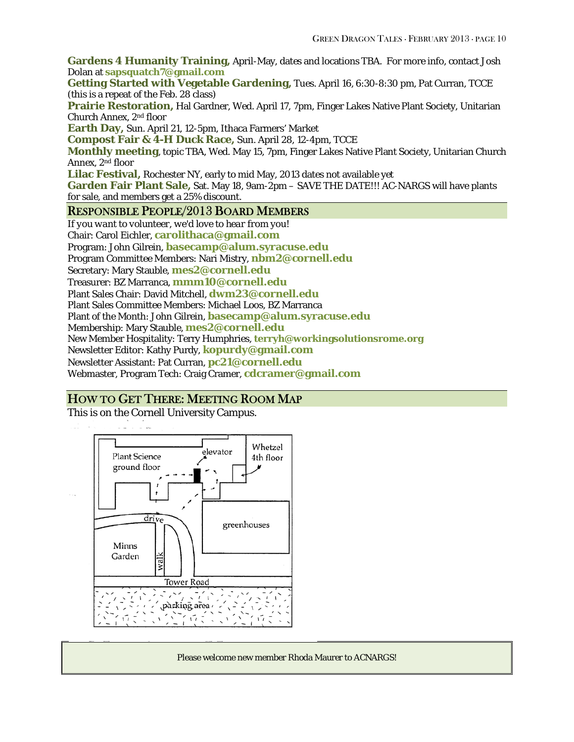**Gardens 4 Humanity Training,** April-May, dates and locations TBA. For more info, contact Josh Dolan at **[sapsquatch7@gmail.com](mailto:sapsquatch7@gmail.com)**

**Getting Started with Vegetable Gardening,** Tues. April 16, 6:30-8:30 pm, Pat Curran, TCCE (this is a repeat of the Feb. 28 class)

**Prairie Restoration,** Hal Gardner, Wed. April 17, 7pm, Finger Lakes Native Plant Society, Unitarian Church Annex, 2nd floor

**Earth Day,** Sun. April 21, 12-5pm, Ithaca Farmers' Market

**Compost Fair & 4-H Duck Race,** Sun. April 28, 12-4pm, TCCE

**Monthly meeting**, topic TBA, Wed. May 15, 7pm, Finger Lakes Native Plant Society, Unitarian Church Annex, 2nd floor

**Lilac Festival,** Rochester NY, early to mid May, 2013 dates not available yet

**Garden Fair Plant Sale,** Sat. May 18, 9am-2pm – SAVE THE DATE!!! AC-NARGS will have plants for sale, and members get a 25% discount.

#### RESPONSIBLE PEOPLE/2013 BOARD MEMBERS

*If you want to volunteer, we'd love to hear from you!* Chair: Carol Eichler, **[carolithaca@gmail.com](mailto:carolithaca@gmail.com)** Program: John Gilrein, **[basecamp@alum.syracuse.edu](mailto:basecamp@alum.syracuse.edu)** Program Committee Members: Nari Mistry, **[nbm2@cornell.edu](mailto:nbm2@cornell.edu)** Secretary: Mary Stauble, **[mes2@cornell.edu](mailto:mes2@cornell.edu)** Treasurer: BZ Marranca, **[mmm10@cornell.edu](mailto:mmm10@cornell.edu)** Plant Sales Chair: David Mitchell, **[dwm23@cornell.edu](mailto:dwm23@cornell.edu)** Plant Sales Committee Members: Michael Loos, BZ Marranca Plant of the Month: John Gilrein, **[basecamp@alum.syracuse.edu](mailto:basecamp@alum.syracuse.edu)** Membership: Mary Stauble, **[mes2@cornell.edu](mailto:mes2@cornell.edu)** New Member Hospitality: Terry Humphries, **terryh@workingsolutionsrome.org** Newsletter Editor: Kathy Purdy, **[kopurdy@gmail.com](mailto:kathy@coldclimategardening.com)** Newsletter Assistant: Pat Curran, **[pc21@cornell.edu](mailto:pc21@cornell.edu)** Webmaster, Program Tech: Craig Cramer, **[cdcramer@gmail.com](mailto:cdcramer@gmail.com)**

### HOW TO GET THERE: MEETING ROOM MAP

This is on the Cornell University Campus.



Please welcome new member Rhoda Maurer to ACNARGS!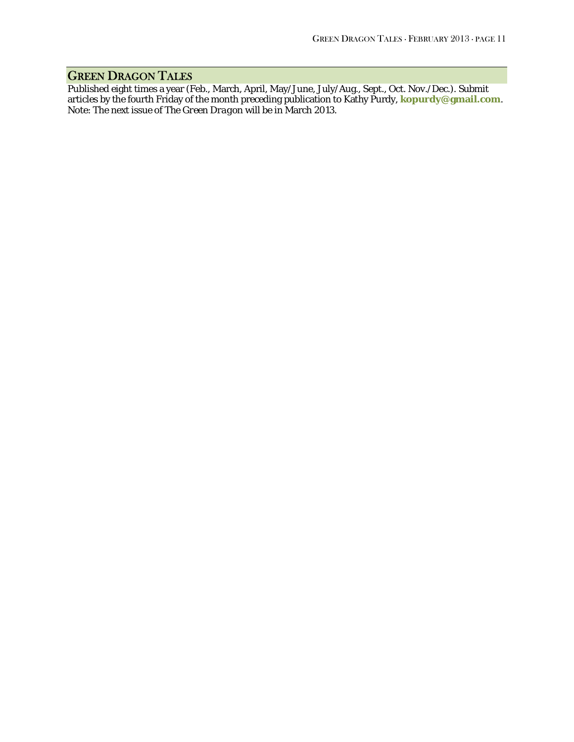## GREEN DRAGON TALES

Published eight times a year (Feb., March, April, May/June, July/Aug., Sept., Oct. Nov./Dec.). Submit articles by the fourth Friday of the month preceding publication to Kathy Purdy, **[kopurdy@gmail.com](mailto:kathy@coldclimategardening.com)**. Note: The next issue of *The Green Dragon* will be in March 2013.